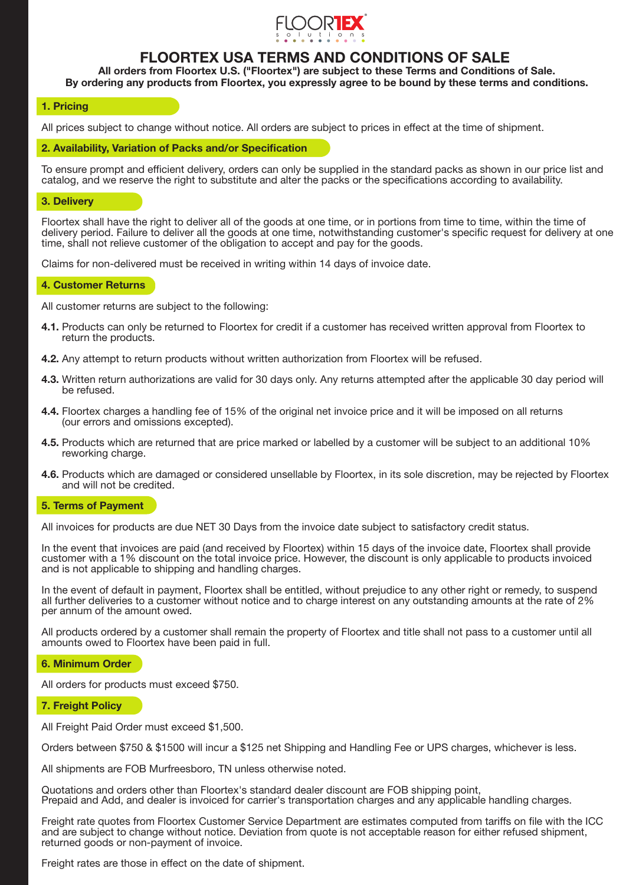

# FLOORTEX USA TERMS AND CONDITIONS OF SALE

All orders from Floortex U.S. ("Floortex") are subject to these Terms and Conditions of Sale. By ordering any products from Floortex, you expressly agree to be bound by these terms and conditions.

# 1. Pricing

All prices subject to change without notice. All orders are subject to prices in effect at the time of shipment.

2. Availability, Variation of Packs and/or Specification

To ensure prompt and efficient delivery, orders can only be supplied in the standard packs as shown in our price list and catalog, and we reserve the right to substitute and alter the packs or the specifications according to availability.

### 3. Delivery

Floortex shall have the right to deliver all of the goods at one time, or in portions from time to time, within the time of delivery period. Failure to deliver all the goods at one time, notwithstanding customer's specific request for delivery at one time, shall not relieve customer of the obligation to accept and pay for the goods.

Claims for non-delivered must be received in writing within 14 days of invoice date.

## 4. Customer Returns

All customer returns are subject to the following:

- 4.1. Products can only be returned to Floortex for credit if a customer has received written approval from Floortex to return the products.
- 4.2. Any attempt to return products without written authorization from Floortex will be refused.
- 4.3. Written return authorizations are valid for 30 days only. Any returns attempted after the applicable 30 day period will be refused.
- 4.4. Floortex charges a handling fee of 15% of the original net invoice price and it will be imposed on all returns (our errors and omissions excepted).
- 4.5. Products which are returned that are price marked or labelled by a customer will be subject to an additional 10% reworking charge.
- 4.6. Products which are damaged or considered unsellable by Floortex, in its sole discretion, may be rejected by Floortex and will not be credited.

## 5. Terms of Payment

All invoices for products are due NET 30 Days from the invoice date subject to satisfactory credit status.

In the event that invoices are paid (and received by Floortex) within 15 days of the invoice date, Floortex shall provide customer with a 1% discount on the total invoice price. However, the discount is only applicable to products invoiced and is not applicable to shipping and handling charges.

In the event of default in payment, Floortex shall be entitled, without prejudice to any other right or remedy, to suspend all further deliveries to a customer without notice and to charge interest on any outstanding amounts at the rate of 2% per annum of the amount owed.

All products ordered by a customer shall remain the property of Floortex and title shall not pass to a customer until all amounts owed to Floortex have been paid in full.

## 6. Minimum Order

All orders for products must exceed \$750.

7. Freight Policy

All Freight Paid Order must exceed \$1,500.

Orders between \$750 & \$1500 will incur a \$125 net Shipping and Handling Fee or UPS charges, whichever is less.

All shipments are FOB Murfreesboro, TN unless otherwise noted.

Quotations and orders other than Floortex's standard dealer discount are FOB shipping point, Prepaid and Add, and dealer is invoiced for carrier's transportation charges and any applicable handling charges.

Freight rate quotes from Floortex Customer Service Department are estimates computed from tariffs on file with the ICC and are subject to change without notice. Deviation from quote is not acceptable reason for either refused shipment, returned goods or non-payment of invoice.

Freight rates are those in effect on the date of shipment.